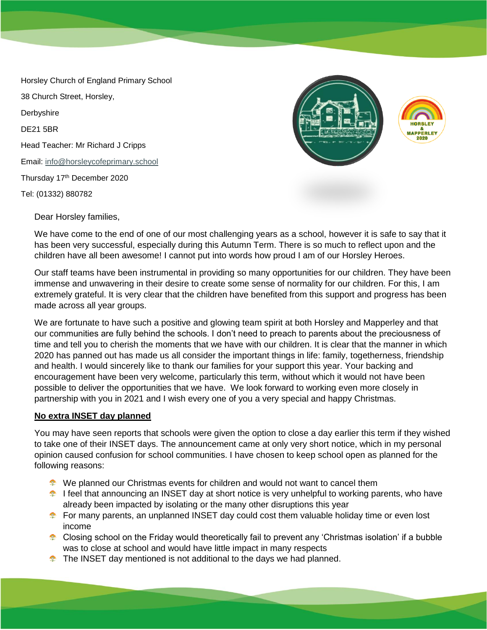Horsley Church of England Primary School 38 Church Street, Horsley, Derbyshire DE21 5BR Head Teacher: Mr Richard J Cripps Email: [info@horsleycofeprimary.school](mailto:info@horsleycofeprimary.school) Thursday 17th December 2020 Tel: (01332) 880782



Dear Horsley families,

We have come to the end of one of our most challenging years as a school, however it is safe to say that it has been very successful, especially during this Autumn Term. There is so much to reflect upon and the children have all been awesome! I cannot put into words how proud I am of our Horsley Heroes.

Our staff teams have been instrumental in providing so many opportunities for our children. They have been immense and unwavering in their desire to create some sense of normality for our children. For this, I am extremely grateful. It is very clear that the children have benefited from this support and progress has been made across all year groups.

We are fortunate to have such a positive and glowing team spirit at both Horsley and Mapperley and that our communities are fully behind the schools. I don't need to preach to parents about the preciousness of time and tell you to cherish the moments that we have with our children. It is clear that the manner in which 2020 has panned out has made us all consider the important things in life: family, togetherness, friendship and health. I would sincerely like to thank our families for your support this year. Your backing and encouragement have been very welcome, particularly this term, without which it would not have been possible to deliver the opportunities that we have. We look forward to working even more closely in partnership with you in 2021 and I wish every one of you a very special and happy Christmas.

# **No extra INSET day planned**

You may have seen reports that schools were given the option to close a day earlier this term if they wished to take one of their INSET days. The announcement came at only very short notice, which in my personal opinion caused confusion for school communities. I have chosen to keep school open as planned for the following reasons:

- We planned our Christmas events for children and would not want to cancel them
- **I** feel that announcing an INSET day at short notice is very unhelpful to working parents, who have already been impacted by isolating or the many other disruptions this year
- **E** For many parents, an unplanned INSET day could cost them valuable holiday time or even lost income
- **Closing school on the Friday would theoretically fail to prevent any 'Christmas isolation' if a bubble** was to close at school and would have little impact in many respects
- **The INSET day mentioned is not additional to the days we had planned.**